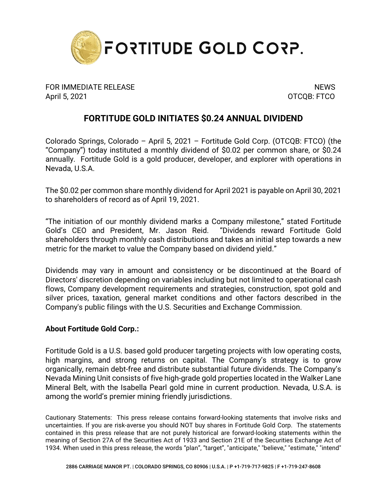

FOR IMMEDIATE RELEASE NEWS SERVICE AND THE MEMORY OF STATE AND THE MEMORY OF STATE AND THE MEMORY OF STATE AND THE MEMORY OF STATE AND THE MEMORY OF STATE AND THE MEMORY OF STATE AND THE MEMORY OF STATE AND THE MEMORY OF S April 5, 2021 **OTCQB: FTCO** 

## **FORTITUDE GOLD INITIATES \$0.24 ANNUAL DIVIDEND**

Colorado Springs, Colorado – April 5, 2021 – Fortitude Gold Corp. (OTCQB: FTCO) (the "Company") today instituted a monthly dividend of \$0.02 per common share, or \$0.24 annually. Fortitude Gold is a gold producer, developer, and explorer with operations in Nevada, U.S.A.

The \$0.02 per common share monthly dividend for April 2021 is payable on April 30, 2021 to shareholders of record as of April 19, 2021.

"The initiation of our monthly dividend marks a Company milestone," stated Fortitude Gold's CEO and President, Mr. Jason Reid. "Dividends reward Fortitude Gold shareholders through monthly cash distributions and takes an initial step towards a new metric for the market to value the Company based on dividend yield."

Dividends may vary in amount and consistency or be discontinued at the Board of Directors' discretion depending on variables including but not limited to operational cash flows, Company development requirements and strategies, construction, spot gold and silver prices, taxation, general market conditions and other factors described in the Company's public filings with the U.S. Securities and Exchange Commission.

## **About Fortitude Gold Corp.:**

Fortitude Gold is a U.S. based gold producer targeting projects with low operating costs, high margins, and strong returns on capital. The Company's strategy is to grow organically, remain debt-free and distribute substantial future dividends. The Company's Nevada Mining Unit consists of five high-grade gold properties located in the Walker Lane Mineral Belt, with the Isabella Pearl gold mine in current production. Nevada, U.S.A. is among the world's premier mining friendly jurisdictions.

Cautionary Statements: This press release contains forward-looking statements that involve risks and uncertainties. If you are risk-averse you should NOT buy shares in Fortitude Gold Corp. The statements contained in this press release that are not purely historical are forward-looking statements within the meaning of Section 27A of the Securities Act of 1933 and Section 21E of the Securities Exchange Act of 1934. When used in this press release, the words "plan", "target", "anticipate," "believe," "estimate," "intend"